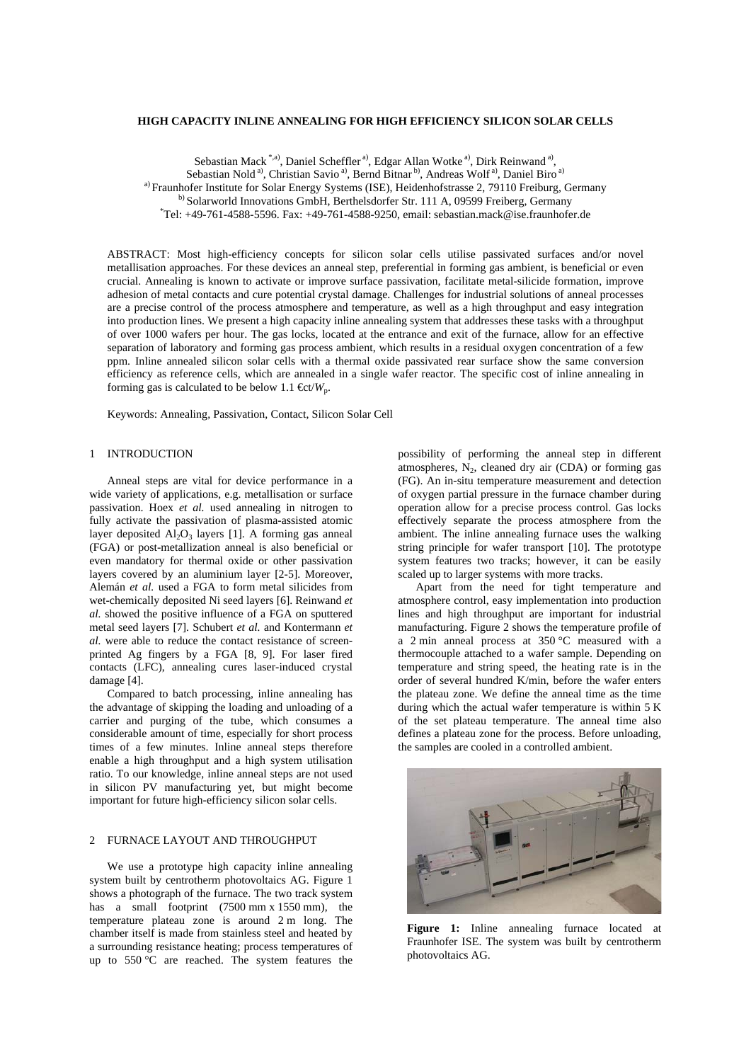### **HIGH CAPACITY INLINE ANNEALING FOR HIGH EFFICIENCY SILICON SOLAR CELLS**

Sebastian Mack<sup>\*,a)</sup>, Daniel Scheffler<sup>a)</sup>, Edgar Allan Wotke<sup>a)</sup>, Dirk Reinwand<sup>a)</sup>,

Sebastian Nold<sup>a)</sup>, Christian Savio<sup>a</sup>, Bernd Bitnar<sup>b</sup>, Andreas Wolf<sup>a)</sup>, Daniel Biro<sup>a)</sup>

a) Fraunhofer Institute for Solar Energy Systems (ISE), Heidenhofstrasse 2, 79110 Freiburg, Germany

b) Solarworld Innovations GmbH, Berthelsdorfer Str. 111 A, 09599 Freiberg, Germany

 $^*$ Tel: +49-761-4588-5596. Fax: +49-761-4588-9250, email: sebastian.mack@ise.fraunhofer.de

ABSTRACT: Most high-efficiency concepts for silicon solar cells utilise passivated surfaces and/or novel metallisation approaches. For these devices an anneal step, preferential in forming gas ambient, is beneficial or even crucial. Annealing is known to activate or improve surface passivation, facilitate metal-silicide formation, improve adhesion of metal contacts and cure potential crystal damage. Challenges for industrial solutions of anneal processes are a precise control of the process atmosphere and temperature, as well as a high throughput and easy integration into production lines. We present a high capacity inline annealing system that addresses these tasks with a throughput of over 1000 wafers per hour. The gas locks, located at the entrance and exit of the furnace, allow for an effective separation of laboratory and forming gas process ambient, which results in a residual oxygen concentration of a few ppm. Inline annealed silicon solar cells with a thermal oxide passivated rear surface show the same conversion efficiency as reference cells, which are annealed in a single wafer reactor. The specific cost of inline annealing in forming gas is calculated to be below 1.1  $\mathbf{\mathfrak{E}}$ t/*W*<sub>p</sub>.

Keywords: Annealing, Passivation, Contact, Silicon Solar Cell

# 1 INTRODUCTION

 Anneal steps are vital for device performance in a wide variety of applications, e.g. metallisation or surface passivation. Hoex *et al.* used annealing in nitrogen to fully activate the passivation of plasma-assisted atomic layer deposited  $Al_2O_3$  layers [1]. A forming gas anneal (FGA) or post-metallization anneal is also beneficial or even mandatory for thermal oxide or other passivation layers covered by an aluminium layer [2-5]. Moreover, Alemán *et al.* used a FGA to form metal silicides from wet-chemically deposited Ni seed layers [6]. Reinwand *et al.* showed the positive influence of a FGA on sputtered metal seed layers [7]. Schubert *et al.* and Kontermann *et al.* were able to reduce the contact resistance of screenprinted Ag fingers by a FGA [8, 9]. For laser fired contacts (LFC), annealing cures laser-induced crystal damage [4].

 Compared to batch processing, inline annealing has the advantage of skipping the loading and unloading of a carrier and purging of the tube, which consumes a considerable amount of time, especially for short process times of a few minutes. Inline anneal steps therefore enable a high throughput and a high system utilisation ratio. To our knowledge, inline anneal steps are not used in silicon PV manufacturing yet, but might become important for future high-efficiency silicon solar cells.

# 2 FURNACE LAYOUT AND THROUGHPUT

 We use a prototype high capacity inline annealing system built by centrotherm photovoltaics AG. Figure 1 shows a photograph of the furnace. The two track system has a small footprint (7500 mm x 1550 mm), the temperature plateau zone is around 2 m long. The chamber itself is made from stainless steel and heated by a surrounding resistance heating; process temperatures of up to 550 °C are reached. The system features the

possibility of performing the anneal step in different atmospheres,  $N_2$ , cleaned dry air (CDA) or forming gas (FG). An in-situ temperature measurement and detection of oxygen partial pressure in the furnace chamber during operation allow for a precise process control. Gas locks effectively separate the process atmosphere from the ambient. The inline annealing furnace uses the walking string principle for wafer transport [10]. The prototype system features two tracks; however, it can be easily scaled up to larger systems with more tracks.

 Apart from the need for tight temperature and atmosphere control, easy implementation into production lines and high throughput are important for industrial manufacturing. Figure 2 shows the temperature profile of a 2 min anneal process at 350 °C measured with a thermocouple attached to a wafer sample. Depending on temperature and string speed, the heating rate is in the order of several hundred K/min, before the wafer enters the plateau zone. We define the anneal time as the time during which the actual wafer temperature is within 5 K of the set plateau temperature. The anneal time also defines a plateau zone for the process. Before unloading, the samples are cooled in a controlled ambient.



**Figure 1:** Inline annealing furnace located at Fraunhofer ISE. The system was built by centrotherm photovoltaics AG.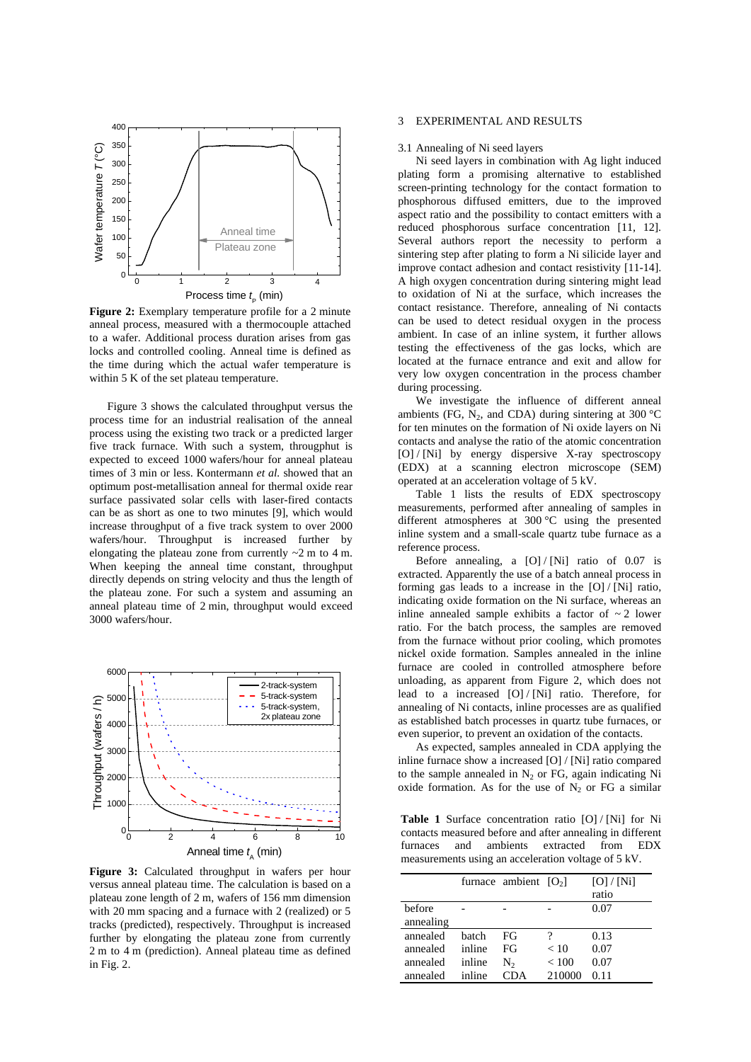

<span id="page-1-0"></span>**Figure 2:** Exemplary temperature profile for a 2 minute anneal process, measured with a thermocouple attached to a wafer. Additional process duration arises from gas locks and controlled cooling. Anneal time is defined as the time during which the actual wafer temperature is within 5 K of the set plateau temperature.

Figure 3 shows the calculated throughput versus the process time for an industrial realisation of the anneal process using the existing two track or a predicted larger five track furnace. With such a system, througphut is expected to exceed 1000 wafers/hour for anneal plateau times of 3 min or less. Kontermann *et al.* showed that an optimum post-metallisation anneal for thermal oxide rear surface passivated solar cells with laser-fired contacts can be as short as one to two minutes [9], which would increase throughput of a five track system to over 2000 wafers/hour. Throughput is increased further by elongating the plateau zone from currently  $\sim$ 2 m to 4 m. When keeping the anneal time constant, throughput directly depends on string velocity and thus the length of the plateau zone. For such a system and assuming an anneal plateau time of 2 min, throughput would exceed 3000 wafers/hour.



**Figure 3:** Calculated throughput in wafers per hour versus anneal plateau time. The calculation is based on a plateau zone length of 2 m, wafers of 156 mm dimension with 20 mm spacing and a furnace with 2 (realized) or 5 tracks (predicted), respectively. Throughput is increased further by elongating the plateau zone from currently 2 m to 4 m (prediction). Anneal plateau time as defined in Fig. 2.

## 3 EXPERIMENTAL AND RESULTS

#### 3.1 Annealing of Ni seed layers

 Ni seed layers in combination with Ag light induced plating form a promising alternative to established screen-printing technology for the contact formation to phosphorous diffused emitters, due to the improved aspect ratio and the possibility to contact emitters with a reduced phosphorous surface concentration [11, 12]. Several authors report the necessity to perform a sintering step after plating to form a Ni silicide layer and improve contact adhesion and contact resistivity [11-14]. A high oxygen concentration during sintering might lead to oxidation of Ni at the surface, which increases the contact resistance. Therefore, annealing of Ni contacts can be used to detect residual oxygen in the process ambient. In case of an inline system, it further allows testing the effectiveness of the gas locks, which are located at the furnace entrance and exit and allow for very low oxygen concentration in the process chamber during processing.

 We investigate the influence of different anneal ambients (FG, N<sub>2</sub>, and CDA) during sintering at 300  $^{\circ}$ C for ten minutes on the formation of Ni oxide layers on Ni contacts and analyse the ratio of the atomic concentration [O] / [Ni] by energy dispersive X-ray spectroscopy (EDX) at a scanning electron microscope (SEM) operated at an acceleration voltage of 5 kV.

 Table 1 lists the results of EDX spectroscopy measurements, performed after annealing of samples in different atmospheres at 300 °C using the presented inline system and a small-scale quartz tube furnace as a reference process.

Before annealing, a  $[O] / [Ni]$  ratio of 0.07 is extracted. Apparently the use of a batch anneal process in forming gas leads to a increase in the [O] / [Ni] ratio, indicating oxide formation on the Ni surface, whereas an inline annealed sample exhibits a factor of  $\sim$  2 lower ratio. For the batch process, the samples are removed from the furnace without prior cooling, which promotes nickel oxide formation. Samples annealed in the inline furnace are cooled in controlled atmosphere before unloading, as apparent from [Figure 2](#page-1-0), which does not lead to a increased [O] / [Ni] ratio. Therefore, for annealing of Ni contacts, inline processes are as qualified as established batch processes in quartz tube furnaces, or even superior, to prevent an oxidation of the contacts.

 As expected, samples annealed in CDA applying the inline furnace show a increased [O] / [Ni] ratio compared to the sample annealed in  $N_2$  or FG, again indicating Ni oxide formation. As for the use of  $N_2$  or FG a similar

**Table 1** Surface concentration ratio [O] / [Ni] for Ni contacts measured before and after annealing in different furnaces and ambients extracted from EDX measurements using an acceleration voltage of 5 kV.

|           |        | furnace ambient $[O_2]$ |        | [O]/[Ni]<br>ratio |
|-----------|--------|-------------------------|--------|-------------------|
| before    |        |                         |        | 0.07              |
| annealing |        |                         |        |                   |
| annealed  | hatch  | FG                      | ?      | 0.13              |
| annealed  | inline | FG                      | < 10   | 0.07              |
| annealed  | inline | N,                      | < 100  | 0.07              |
| annealed  | inline | CDA                     | 210000 | 0.11              |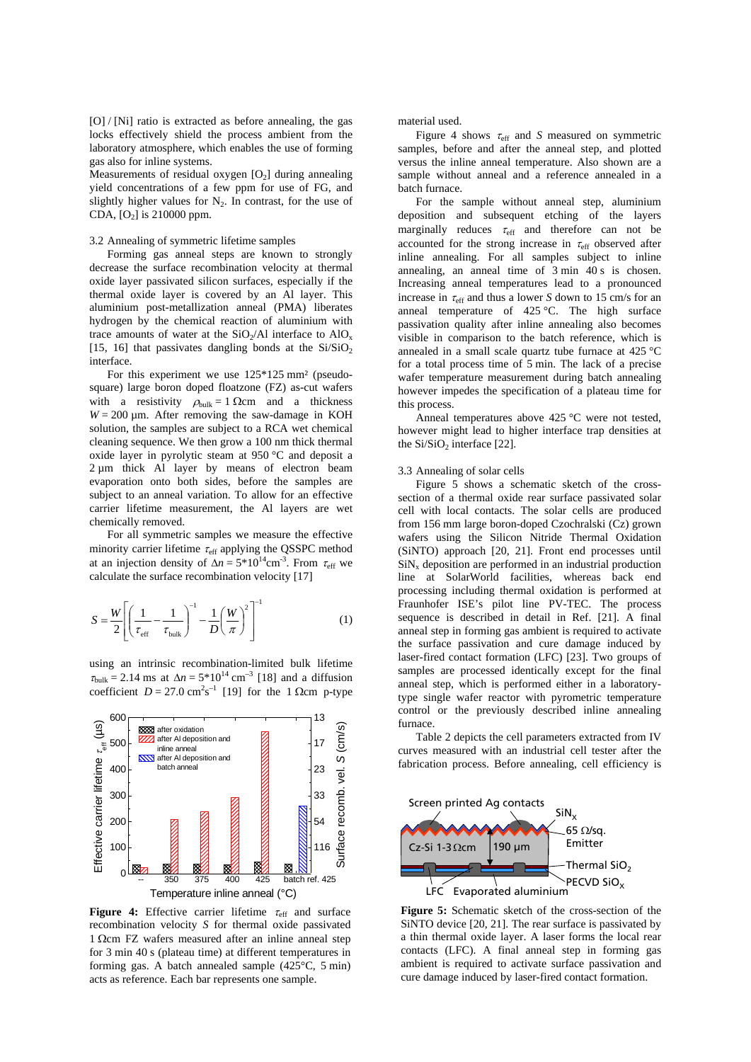[O] / [Ni] ratio is extracted as before annealing, the gas locks effectively shield the process ambient from the laboratory atmosphere, which enables the use of forming gas also for inline systems.

Measurements of residual oxygen  $[O_2]$  during annealing yield concentrations of a few ppm for use of FG, and slightly higher values for  $N_2$ . In contrast, for the use of CDA,  $[O_2]$  is 210000 ppm.

## 3.2 Annealing of symmetric lifetime samples

 Forming gas anneal steps are known to strongly decrease the surface recombination velocity at thermal oxide layer passivated silicon surfaces, especially if the thermal oxide layer is covered by an Al layer. This aluminium post-metallization anneal (PMA) liberates hydrogen by the chemical reaction of aluminium with trace amounts of water at the  $SiO<sub>2</sub>/Al$  interface to  $AlO<sub>x</sub>$ [15, 16] that passivates dangling bonds at the  $Si/SiO<sub>2</sub>$ interface.

 For this experiment we use 125\*125 mm² (pseudosquare) large boron doped floatzone (FZ) as-cut wafers with a resistivity  $\rho_{\text{bulk}} = 1 \Omega \text{cm}$  and a thickness  $W = 200 \mu m$ . After removing the saw-damage in KOH solution, the samples are subject to a RCA wet chemical cleaning sequence. We then grow a 100 nm thick thermal oxide layer in pyrolytic steam at 950 °C and deposit a 2 µm thick Al layer by means of electron beam evaporation onto both sides, before the samples are subject to an anneal variation. To allow for an effective carrier lifetime measurement, the Al layers are wet chemically removed.

 For all symmetric samples we measure the effective minority carrier lifetime  $\tau_{\rm eff}$  applying the QSSPC method at an injection density of  $\Delta n = 5*10^{14}$ cm<sup>-3</sup>. From  $\tau_{eff}$  we calculate the surface recombination velocity [17]

$$
S = \frac{W}{2} \left[ \left( \frac{1}{\tau_{\text{eff}}} - \frac{1}{\tau_{\text{bulk}}} \right)^{-1} - \frac{1}{D} \left( \frac{W}{\pi} \right)^{2} \right]^{-1} \tag{1}
$$

using an intrinsic recombination-limited bulk lifetime  $\tau_{\text{bulk}} = 2.14 \text{ ms at } \Delta n = 5*10^{14} \text{ cm}^{-3}$  [18] and a diffusion coefficient  $D = 27.0 \text{ cm}^2 \text{s}^{-1}$  [19] for the 1 Ωcm p-type



**Figure 4:** Effective carrier lifetime τ<sub>eff</sub> and surface recombination velocity *S* for thermal oxide passivated 1 Ωcm FZ wafers measured after an inline anneal step for 3 min 40 s (plateau time) at different temperatures in forming gas. A batch annealed sample (425°C, 5 min) acts as reference. Each bar represents one sample.

material used.

Figure 4 shows τeff and *S* measured on symmetric samples, before and after the anneal step, and plotted versus the inline anneal temperature. Also shown are a sample without anneal and a reference annealed in a batch furnace.

For the sample without anneal step, aluminium deposition and subsequent etching of the layers marginally reduces  $\tau_{\text{eff}}$  and therefore can not be accounted for the strong increase in  $\tau_{\text{eff}}$  observed after inline annealing. For all samples subject to inline annealing, an anneal time of 3 min 40 s is chosen. Increasing anneal temperatures lead to a pronounced increase in  $\tau_{\text{eff}}$  and thus a lower *S* down to 15 cm/s for an anneal temperature of 425 °C. The high surface passivation quality after inline annealing also becomes visible in comparison to the batch reference, which is annealed in a small scale quartz tube furnace at 425 °C for a total process time of 5 min. The lack of a precise wafer temperature measurement during batch annealing however impedes the specification of a plateau time for this process.

Anneal temperatures above 425 °C were not tested, however might lead to higher interface trap densities at the  $Si/SiO<sub>2</sub>$  interface [22].

#### 3.3 Annealing of solar cells

 Figure 5 shows a schematic sketch of the crosssection of a thermal oxide rear surface passivated solar cell with local contacts. The solar cells are produced from 156 mm large boron-doped Czochralski (Cz) grown wafers using the Silicon Nitride Thermal Oxidation (SiNTO) approach [20, 21]. Front end processes until  $\text{SiN}_x$  deposition are performed in an industrial production line at SolarWorld facilities, whereas back end processing including thermal oxidation is performed at Fraunhofer ISE's pilot line PV-TEC. The process sequence is described in detail in Ref. [21]. A final anneal step in forming gas ambient is required to activate the surface passivation and cure damage induced by laser-fired contact formation (LFC) [23]. Two groups of samples are processed identically except for the final anneal step, which is performed either in a laboratorytype single wafer reactor with pyrometric temperature control or the previously described inline annealing furnace.

 Table 2 depicts the cell parameters extracted from IV curves measured with an industrial cell tester after the fabrication process. Before annealing, cell efficiency is



**Figure 5:** Schematic sketch of the cross-section of the SiNTO device [20, 21]. The rear surface is passivated by a thin thermal oxide layer. A laser forms the local rear contacts (LFC). A final anneal step in forming gas ambient is required to activate surface passivation and cure damage induced by laser-fired contact formation.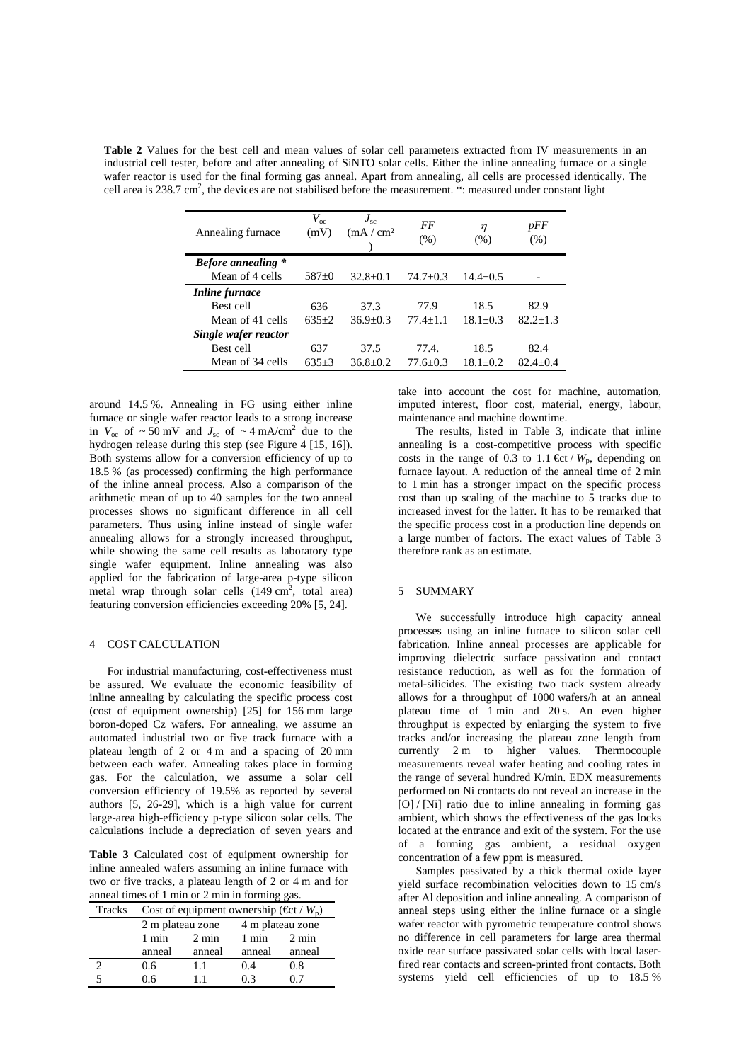**Table 2** Values for the best cell and mean values of solar cell parameters extracted from IV measurements in an industrial cell tester, before and after annealing of SiNTO solar cells. Either the inline annealing furnace or a single wafer reactor is used for the final forming gas anneal. Apart from annealing, all cells are processed identically. The cell area is 238.7 cm<sup>2</sup>, the devices are not stabilised before the measurement. \*: measured under constant light

| Annealing furnace         | $V_{\rm oc}$<br>(mV) | $J_{sc}$<br>(mA/cm <sup>2</sup> ) | FF<br>(% )   | $\eta$<br>(% ) | pFF<br>(% )  |
|---------------------------|----------------------|-----------------------------------|--------------|----------------|--------------|
| <b>Before annealing</b> * |                      |                                   |              |                |              |
| Mean of 4 cells           | $587+0$              | $32.8+0.1$                        | $74.7+0.3$   | $14.4 + 0.5$   |              |
| <i>Inline furnace</i>     |                      |                                   |              |                |              |
| Best cell                 | 636                  | 37.3                              | 77.9         | 18.5           | 82.9         |
| Mean of 41 cells          | $635+2$              | $36.9 + 0.3$                      | $77.4 + 1.1$ | $18.1 + 0.3$   | $82.2 + 1.3$ |
| Single wafer reactor      |                      |                                   |              |                |              |
| Best cell                 | 637                  | 37.5                              | 77.4         | 18.5           | 82.4         |
| Mean of 34 cells          | $635+3$              | $36.8 + 0.2$                      | 77.6+0.3     | $18.1 + 0.2$   | $82.4 + 0.4$ |

around 14.5 %. Annealing in FG using either inline furnace or single wafer reactor leads to a strong increase in  $V_{\text{oc}}$  of  $\sim 50 \text{ mV}$  and  $J_{\text{sc}}$  of  $\sim 4 \text{ mA/cm}^2$  due to the hydrogen release during this step (see Figure 4 [15, 16]). Both systems allow for a conversion efficiency of up to 18.5 % (as processed) confirming the high performance of the inline anneal process. Also a comparison of the arithmetic mean of up to 40 samples for the two anneal processes shows no significant difference in all cell parameters. Thus using inline instead of single wafer annealing allows for a strongly increased throughput, while showing the same cell results as laboratory type single wafer equipment. Inline annealing was also applied for the fabrication of large-area p-type silicon metal wrap through solar cells  $(149 \text{ cm}^2, \text{ total area})$ featuring conversion efficiencies exceeding 20% [5, 24].

## 4 COST CALCULATION

 For industrial manufacturing, cost-effectiveness must be assured. We evaluate the economic feasibility of inline annealing by calculating the specific process cost (cost of equipment ownership) [25] for 156 mm large boron-doped Cz wafers. For annealing, we assume an automated industrial two or five track furnace with a plateau length of 2 or 4 m and a spacing of 20 mm between each wafer. Annealing takes place in forming gas. For the calculation, we assume a solar cell conversion efficiency of 19.5% as reported by several authors [5, 26-29], which is a high value for current large-area high-efficiency p-type silicon solar cells. The calculations include a depreciation of seven years and

Table 3 Calculated cost of equipment ownership for concentration of a few ppm is measured. inline annealed wafers assuming an inline furnace with two or five tracks, a plateau length of 2 or 4 m and for anneal times of 1 min or 2 min in forming gas.

| <b>Tracks</b> | Cost of equipment ownership ( $\mathfrak{E}$ t / $W_p$ ) |                 |                  |        |  |  |
|---------------|----------------------------------------------------------|-----------------|------------------|--------|--|--|
|               | 2 m plateau zone                                         |                 | 4 m plateau zone |        |  |  |
|               | 1 min                                                    | $2 \text{ min}$ | $1 \text{ min}$  | 2 min  |  |  |
|               | anneal                                                   | anneal          | anneal           | anneal |  |  |
|               | 0.6                                                      | 11              | 0.4              | 0.8    |  |  |
|               | ) 6                                                      |                 | በ 3              |        |  |  |

take into account the cost for machine, automation, imputed interest, floor cost, material, energy, labour, maintenance and machine downtime.

 The results, listed in Table 3, indicate that inline annealing is a cost-competitive process with specific costs in the range of 0.3 to 1.1  $\mathbf{E}$ t /  $W_p$ , depending on furnace layout. A reduction of the anneal time of 2 min to 1 min has a stronger impact on the specific process cost than up scaling of the machine to 5 tracks due to increased invest for the latter. It has to be remarked that the specific process cost in a production line depends on a large number of factors. The exact values of Table 3 therefore rank as an estimate.

## 5 SUMMARY

We successfully introduce high capacity anneal processes using an inline furnace to silicon solar cell fabrication. Inline anneal processes are applicable for improving dielectric surface passivation and contact resistance reduction, as well as for the formation of metal-silicides. The existing two track system already allows for a throughput of 1000 wafers/h at an anneal plateau time of 1 min and 20 s. An even higher throughput is expected by enlarging the system to five tracks and/or increasing the plateau zone length from currently 2 m to higher values. Thermocouple measurements reveal wafer heating and cooling rates in the range of several hundred K/min. EDX measurements performed on Ni contacts do not reveal an increase in the [O] / [Ni] ratio due to inline annealing in forming gas ambient, which shows the effectiveness of the gas locks located at the entrance and exit of the system. For the use of a forming gas ambient, a residual oxygen

Samples passivated by a thick thermal oxide layer yield surface recombination velocities down to 15 cm/s after Al deposition and inline annealing. A comparison of anneal steps using either the inline furnace or a single wafer reactor with pyrometric temperature control shows no difference in cell parameters for large area thermal oxide rear surface passivated solar cells with local laserfired rear contacts and screen-printed front contacts. Both systems yield cell efficiencies of up to 18.5 %